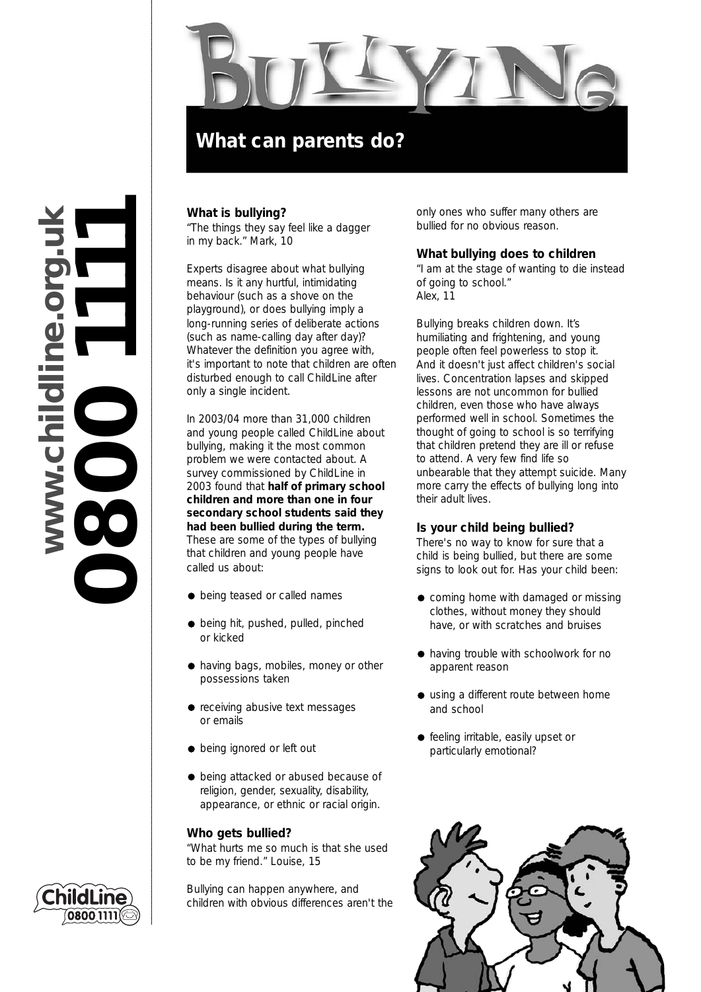

# **www.childline.org.uk 0800 1111**www.childline.org.

# **What is bullying?**

*"The things they say feel like a dagger in my back." Mark, 10*

Experts disagree about what bullying means. Is it any hurtful, intimidating behaviour (such as a shove on the playground), or does bullying imply a long-running series of deliberate actions (such as name-calling day after day)? Whatever the definition you agree with, it's important to note that children are often disturbed enough to call ChildLine after only a single incident.

In 2003/04 more than 31,000 children and young people called ChildLine about bullying, making it the most common problem we were contacted about. A survey commissioned by ChildLine in 2003 found that **half of primary school children and more than one in four secondary school students said they had been bullied during the term.** These are some of the types of bullying that children and young people have called us about:

- $\bullet$  being teased or called names
- $\bullet$  being hit, pushed, pulled, pinched or kicked
- $\bullet$  having bags, mobiles, money or other possessions taken
- receiving abusive text messages or emails
- $\bullet$  being ignored or left out
- $\bullet$  being attacked or abused because of religion, gender, sexuality, disability, appearance, or ethnic or racial origin.

#### **Who gets bullied?**

*"What hurts me so much is that she used to be my friend." Louise, 15*

Bullying can happen anywhere, and children with obvious differences aren't the only ones who suffer many others are bullied for no obvious reason.

#### **What bullying does to children**

*"I am at the stage of wanting to die instead of going to school." Alex, 11*

Bullying breaks children down. It's humiliating and frightening, and young people often feel powerless to stop it. And it doesn't just affect children's social lives. Concentration lapses and skipped lessons are not uncommon for bullied children, even those who have always performed well in school. Sometimes the thought of going to school is so terrifying that children pretend they are ill or refuse to attend. A very few find life so unbearable that they attempt suicide. Many more carry the effects of bullying long into their adult lives.

# **Is your child being bullied?**

There's no way to know for sure that a child is being bullied, but there are some signs to look out for. Has your child been:

- coming home with damaged or missing clothes, without money they should have, or with scratches and bruises
- having trouble with schoolwork for no apparent reason
- using a different route between home and school
- **•** feeling irritable, easily upset or particularly emotional?



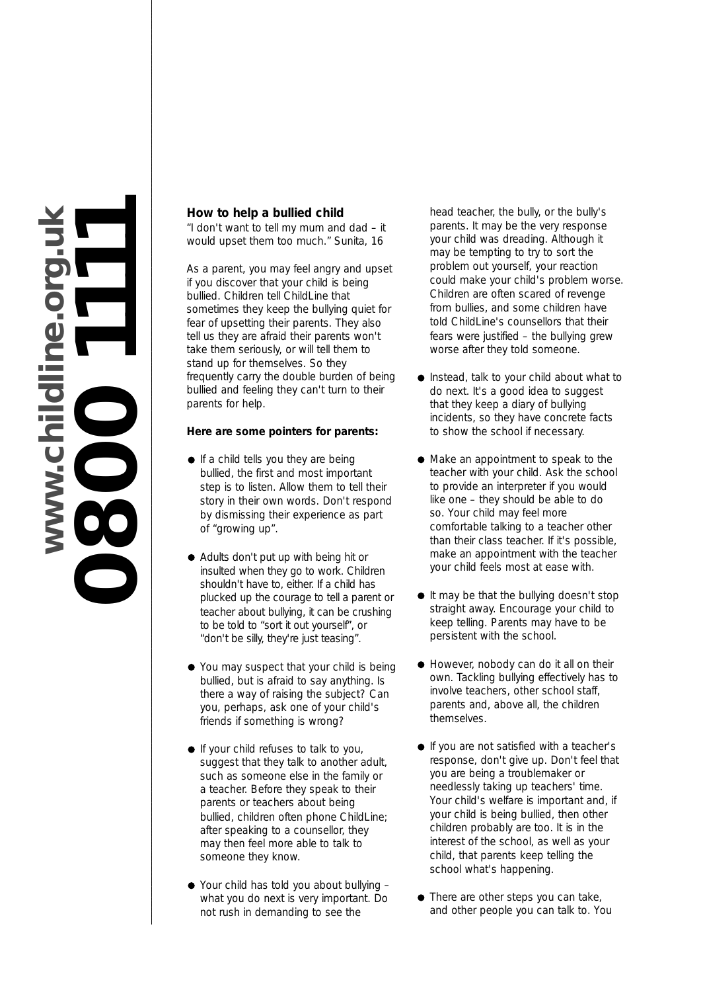

# **How to help a bullied child**

*"I don't want to tell my mum and dad – it would upset them too much." Sunita, 16*

As a parent, you may feel angry and upset if you discover that your child is being bullied. Children tell ChildLine that sometimes they keep the bullying quiet for fear of upsetting their parents. They also tell us they are afraid their parents won't take them seriously, or will tell them to stand up for themselves. So they frequently carry the double burden of being bullied and feeling they can't turn to their parents for help.

# **Here are some pointers for parents:**

- $\bullet$  If a child tells you they are being bullied, the first and most important step is to listen. Allow them to tell their story in their own words. Don't respond by dismissing their experience as part of "growing up".
- Adults don't put up with being hit or insulted when they go to work. Children shouldn't have to, either. If a child has plucked up the courage to tell a parent or teacher about bullying, it can be crushing to be told to "sort it out yourself", or "don't be silly, they're just teasing".
- You may suspect that your child is being bullied, but is afraid to say anything. Is there a way of raising the subject? Can you, perhaps, ask one of your child's friends if something is wrong?
- **If your child refuses to talk to you,** suggest that they talk to another adult, such as someone else in the family or a teacher. Before they speak to their parents or teachers about being bullied, children often phone ChildLine; after speaking to a counsellor, they may then feel more able to talk to someone they know.
- Your child has told you about bullying what you do next is very important. Do not rush in demanding to see the

head teacher, the bully, or the bully's parents. It may be the very response your child was dreading. Although it may be tempting to try to sort the problem out yourself, your reaction could make your child's problem worse. Children are often scared of revenge from bullies, and some children have told ChildLine's counsellors that their fears were justified – the bullying grew worse after they told someone.

- Instead, talk to your child about what to do next. It's a good idea to suggest that they keep a diary of bullying incidents, so they have concrete facts to show the school if necessary.
- Make an appointment to speak to the teacher with your child. Ask the school to provide an interpreter if you would like one – they should be able to do so. Your child may feel more comfortable talking to a teacher other than their class teacher. If it's possible, make an appointment with the teacher your child feels most at ease with.
- It may be that the bullying doesn't stop straight away. Encourage your child to keep telling. Parents may have to be persistent with the school.
- However, nobody can do it all on their own. Tackling bullying effectively has to involve teachers, other school staff, parents and, above all, the children themselves.
- **If you are not satisfied with a teacher's** response, don't give up. Don't feel that you are being a troublemaker or needlessly taking up teachers' time. Your child's welfare is important and, if your child is being bullied, then other children probably are too. It is in the interest of the school, as well as your child, that parents keep telling the school what's happening.
- There are other steps you can take, and other people you can talk to. You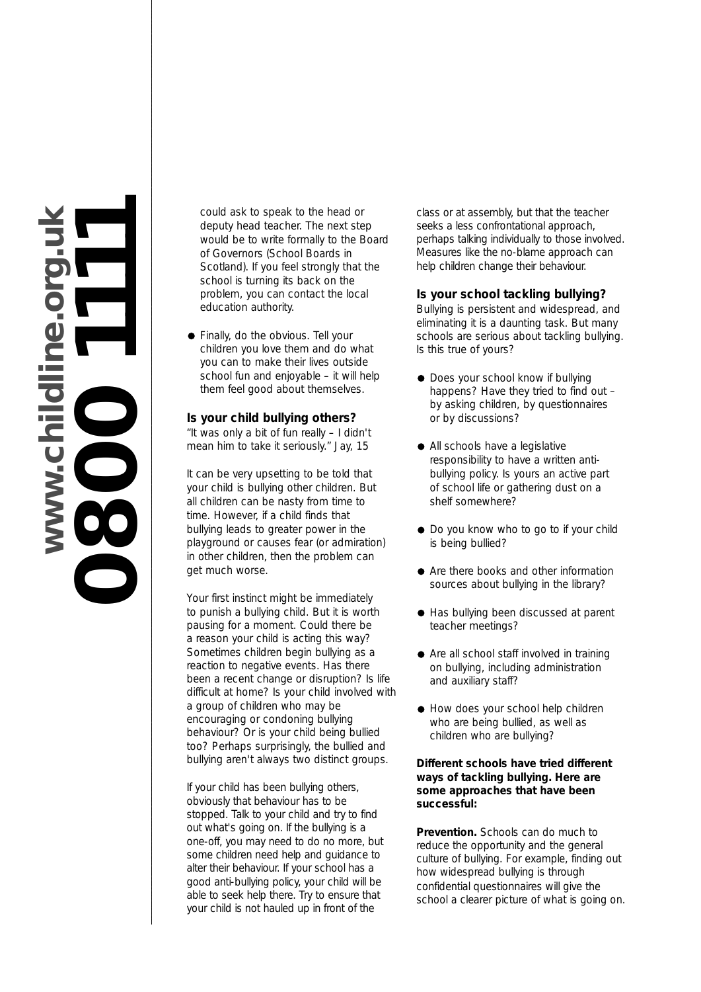

could ask to speak to the head or deputy head teacher. The next step would be to write formally to the Board of Governors (School Boards in Scotland). If you feel strongly that the school is turning its back on the problem, you can contact the local education authority.

**•** Finally, do the obvious. Tell your children you love them and do what you can to make their lives outside school fun and enjoyable – it will help them feel good about themselves.

#### **Is your child bullying others?**

*"It was only a bit of fun really – I didn't mean him to take it seriously." Jay, 15*

It can be very upsetting to be told that your child is bullying other children. But all children can be nasty from time to time. However, if a child finds that bullying leads to greater power in the playground or causes fear (or admiration) in other children, then the problem can get much worse.

Your first instinct might be immediately to punish a bullying child. But it is worth pausing for a moment. Could there be a reason your child is acting this way? Sometimes children begin bullying as a reaction to negative events. Has there been a recent change or disruption? Is life difficult at home? Is your child involved with a group of children who may be encouraging or condoning bullying behaviour? Or is your child being bullied too? Perhaps surprisingly, the bullied and bullying aren't always two distinct groups.

If your child has been bullying others, obviously that behaviour has to be stopped. Talk to your child and try to find out what's going on. If the bullying is a one-off, you may need to do no more, but some children need help and guidance to alter their behaviour. If your school has a good anti-bullying policy, your child will be able to seek help there. Try to ensure that your child is not hauled up in front of the

class or at assembly, but that the teacher seeks a less confrontational approach, perhaps talking individually to those involved. Measures like the no-blame approach can help children change their behaviour.

#### **Is your school tackling bullying?**

Bullying is persistent and widespread, and eliminating it is a daunting task. But many schools are serious about tackling bullying. Is this true of yours?

- Does your school know if bullying happens? Have they tried to find out – by asking children, by questionnaires or by discussions?
- All schools have a legislative responsibility to have a written antibullying policy. Is yours an active part of school life or gathering dust on a shelf somewhere?
- Do you know who to go to if your child is being bullied?
- Are there books and other information sources about bullying in the library?
- Has bullying been discussed at parent teacher meetings?
- Are all school staff involved in training on bullying, including administration and auxiliary staff?
- $\bullet$  How does your school help children who are being bullied, as well as children who are bullying?

#### **Different schools have tried different ways of tackling bullying. Here are some approaches that have been successful:**

**Prevention.** Schools can do much to reduce the opportunity and the general culture of bullying. For example, finding out how widespread bullying is through confidential questionnaires will give the school a clearer picture of what is going on.